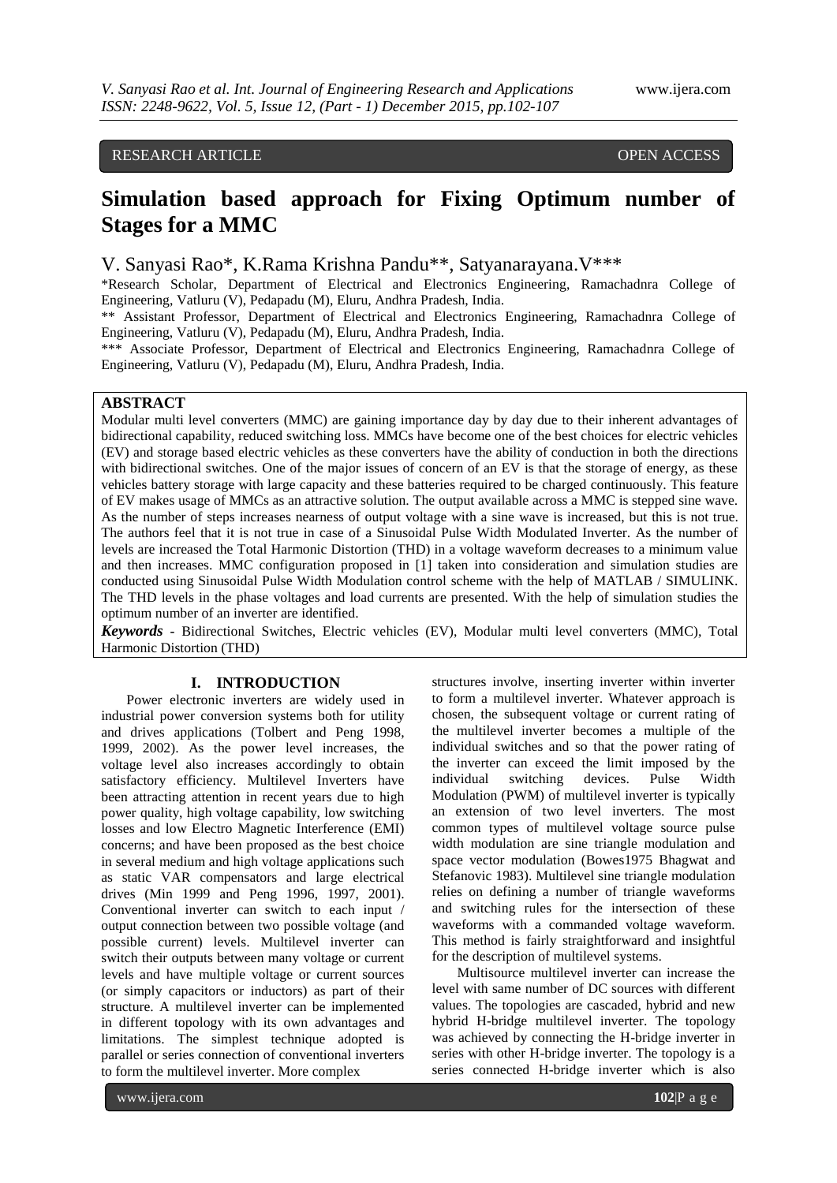# RESEARCH ARTICLE OPEN ACCESS

# **Simulation based approach for Fixing Optimum number of Stages for a MMC**

# V. Sanyasi Rao\*, K.Rama Krishna Pandu\*\*, Satyanarayana.V\*\*\*

\*Research Scholar, Department of Electrical and Electronics Engineering, Ramachadnra College of Engineering, Vatluru (V), Pedapadu (M), Eluru, Andhra Pradesh, India.

\*\* Assistant Professor, Department of Electrical and Electronics Engineering, Ramachadnra College of Engineering, Vatluru (V), Pedapadu (M), Eluru, Andhra Pradesh, India.

\*\*\* Associate Professor, Department of Electrical and Electronics Engineering, Ramachadnra College of Engineering, Vatluru (V), Pedapadu (M), Eluru, Andhra Pradesh, India.

## **ABSTRACT**

Modular multi level converters (MMC) are gaining importance day by day due to their inherent advantages of bidirectional capability, reduced switching loss. MMCs have become one of the best choices for electric vehicles (EV) and storage based electric vehicles as these converters have the ability of conduction in both the directions with bidirectional switches. One of the major issues of concern of an EV is that the storage of energy, as these vehicles battery storage with large capacity and these batteries required to be charged continuously. This feature of EV makes usage of MMCs as an attractive solution. The output available across a MMC is stepped sine wave. As the number of steps increases nearness of output voltage with a sine wave is increased, but this is not true. The authors feel that it is not true in case of a Sinusoidal Pulse Width Modulated Inverter. As the number of levels are increased the Total Harmonic Distortion (THD) in a voltage waveform decreases to a minimum value and then increases. MMC configuration proposed in [1] taken into consideration and simulation studies are conducted using Sinusoidal Pulse Width Modulation control scheme with the help of MATLAB / SIMULINK. The THD levels in the phase voltages and load currents are presented. With the help of simulation studies the optimum number of an inverter are identified.

*Keywords* **-** Bidirectional Switches, Electric vehicles (EV), Modular multi level converters (MMC), Total Harmonic Distortion (THD)

# **I. INTRODUCTION**

Power electronic inverters are widely used in industrial power conversion systems both for utility and drives applications (Tolbert and Peng 1998, 1999, 2002). As the power level increases, the voltage level also increases accordingly to obtain satisfactory efficiency. Multilevel Inverters have been attracting attention in recent years due to high power quality, high voltage capability, low switching losses and low Electro Magnetic Interference (EMI) concerns; and have been proposed as the best choice in several medium and high voltage applications such as static VAR compensators and large electrical drives (Min 1999 and Peng 1996, 1997, 2001). Conventional inverter can switch to each input / output connection between two possible voltage (and possible current) levels. Multilevel inverter can switch their outputs between many voltage or current levels and have multiple voltage or current sources (or simply capacitors or inductors) as part of their structure. A multilevel inverter can be implemented in different topology with its own advantages and limitations. The simplest technique adopted is parallel or series connection of conventional inverters to form the multilevel inverter. More complex

structures involve, inserting inverter within inverter to form a multilevel inverter. Whatever approach is chosen, the subsequent voltage or current rating of the multilevel inverter becomes a multiple of the individual switches and so that the power rating of the inverter can exceed the limit imposed by the individual switching devices. Pulse Width Modulation (PWM) of multilevel inverter is typically an extension of two level inverters. The most common types of multilevel voltage source pulse width modulation are sine triangle modulation and space vector modulation (Bowes1975 Bhagwat and Stefanovic 1983). Multilevel sine triangle modulation relies on defining a number of triangle waveforms and switching rules for the intersection of these waveforms with a commanded voltage waveform. This method is fairly straightforward and insightful for the description of multilevel systems.

Multisource multilevel inverter can increase the level with same number of DC sources with different values. The topologies are cascaded, hybrid and new hybrid H-bridge multilevel inverter. The topology was achieved by connecting the H-bridge inverter in series with other H-bridge inverter. The topology is a series connected H-bridge inverter which is also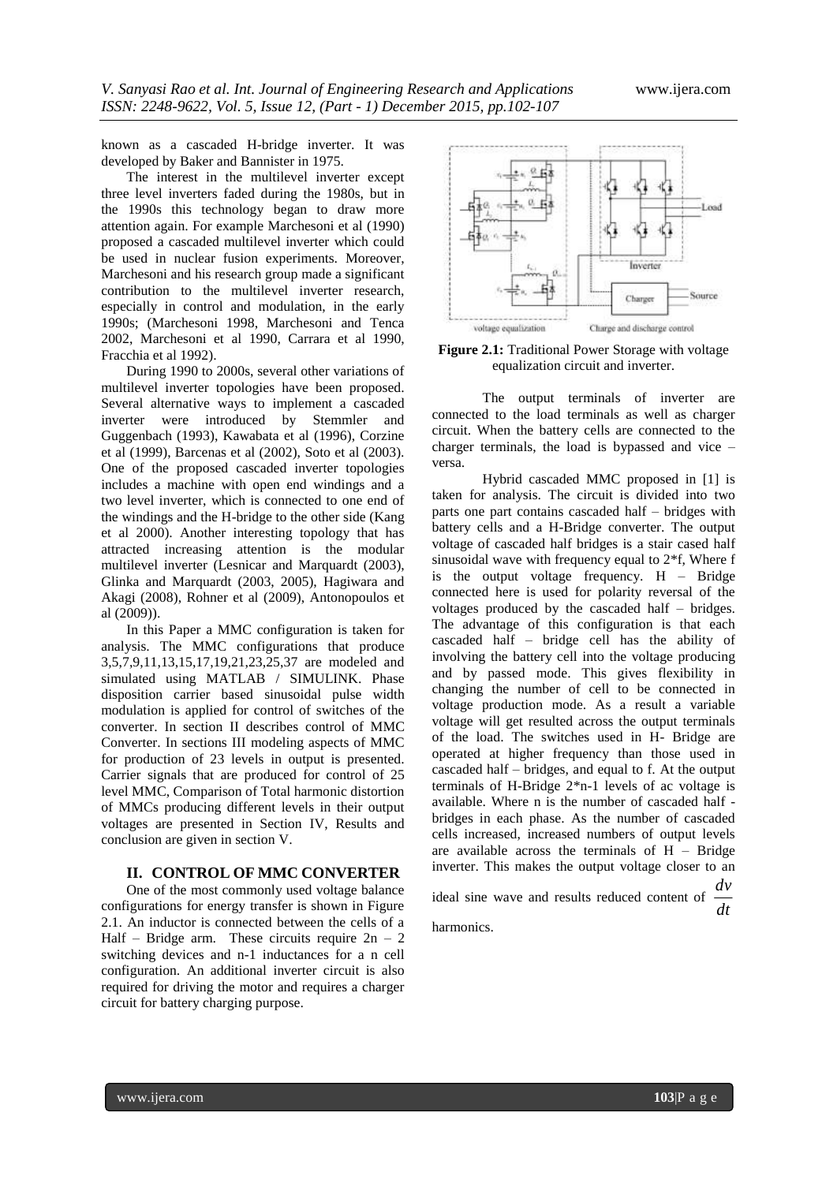known as a cascaded H-bridge inverter. It was developed by Baker and Bannister in 1975.

The interest in the multilevel inverter except three level inverters faded during the 1980s, but in the 1990s this technology began to draw more attention again. For example Marchesoni et al (1990) proposed a cascaded multilevel inverter which could be used in nuclear fusion experiments. Moreover, Marchesoni and his research group made a significant contribution to the multilevel inverter research, especially in control and modulation, in the early 1990s; (Marchesoni 1998, Marchesoni and Tenca 2002, Marchesoni et al 1990, Carrara et al 1990, Fracchia et al 1992).

During 1990 to 2000s, several other variations of multilevel inverter topologies have been proposed. Several alternative ways to implement a cascaded inverter were introduced by Stemmler and Guggenbach (1993), Kawabata et al (1996), Corzine et al (1999), Barcenas et al (2002), Soto et al (2003). One of the proposed cascaded inverter topologies includes a machine with open end windings and a two level inverter, which is connected to one end of the windings and the H-bridge to the other side (Kang et al 2000). Another interesting topology that has attracted increasing attention is the modular multilevel inverter (Lesnicar and Marquardt (2003), Glinka and Marquardt (2003, 2005), Hagiwara and Akagi (2008), Rohner et al (2009), Antonopoulos et al (2009)).

In this Paper a MMC configuration is taken for analysis. The MMC configurations that produce 3,5,7,9,11,13,15,17,19,21,23,25,37 are modeled and simulated using MATLAB / SIMULINK. Phase disposition carrier based sinusoidal pulse width modulation is applied for control of switches of the converter. In section II describes control of MMC Converter. In sections III modeling aspects of MMC for production of 23 levels in output is presented. Carrier signals that are produced for control of 25 level MMC, Comparison of Total harmonic distortion of MMCs producing different levels in their output voltages are presented in Section IV, Results and conclusion are given in section V.

#### **II. CONTROL OF MMC CONVERTER**

One of the most commonly used voltage balance configurations for energy transfer is shown in Figure 2.1. An inductor is connected between the cells of a Half – Bridge arm. These circuits require  $2n - 2$ switching devices and n-1 inductances for a n cell configuration. An additional inverter circuit is also required for driving the motor and requires a charger circuit for battery charging purpose.



**Figure 2.1:** Traditional Power Storage with voltage equalization circuit and inverter.

The output terminals of inverter are connected to the load terminals as well as charger circuit. When the battery cells are connected to the charger terminals, the load is bypassed and vice – versa.

Hybrid cascaded MMC proposed in [1] is taken for analysis. The circuit is divided into two parts one part contains cascaded half – bridges with battery cells and a H-Bridge converter. The output voltage of cascaded half bridges is a stair cased half sinusoidal wave with frequency equal to 2\*f, Where f is the output voltage frequency. H – Bridge connected here is used for polarity reversal of the voltages produced by the cascaded half – bridges. The advantage of this configuration is that each cascaded half – bridge cell has the ability of involving the battery cell into the voltage producing and by passed mode. This gives flexibility in changing the number of cell to be connected in voltage production mode. As a result a variable voltage will get resulted across the output terminals of the load. The switches used in H- Bridge are operated at higher frequency than those used in cascaded half – bridges, and equal to f. At the output terminals of H-Bridge 2\*n-1 levels of ac voltage is available. Where n is the number of cascaded half bridges in each phase. As the number of cascaded cells increased, increased numbers of output levels are available across the terminals of  $H -$ Bridge inverter. This makes the output voltage closer to an

ideal sine wave and results reduced content of *dt dv*

harmonics.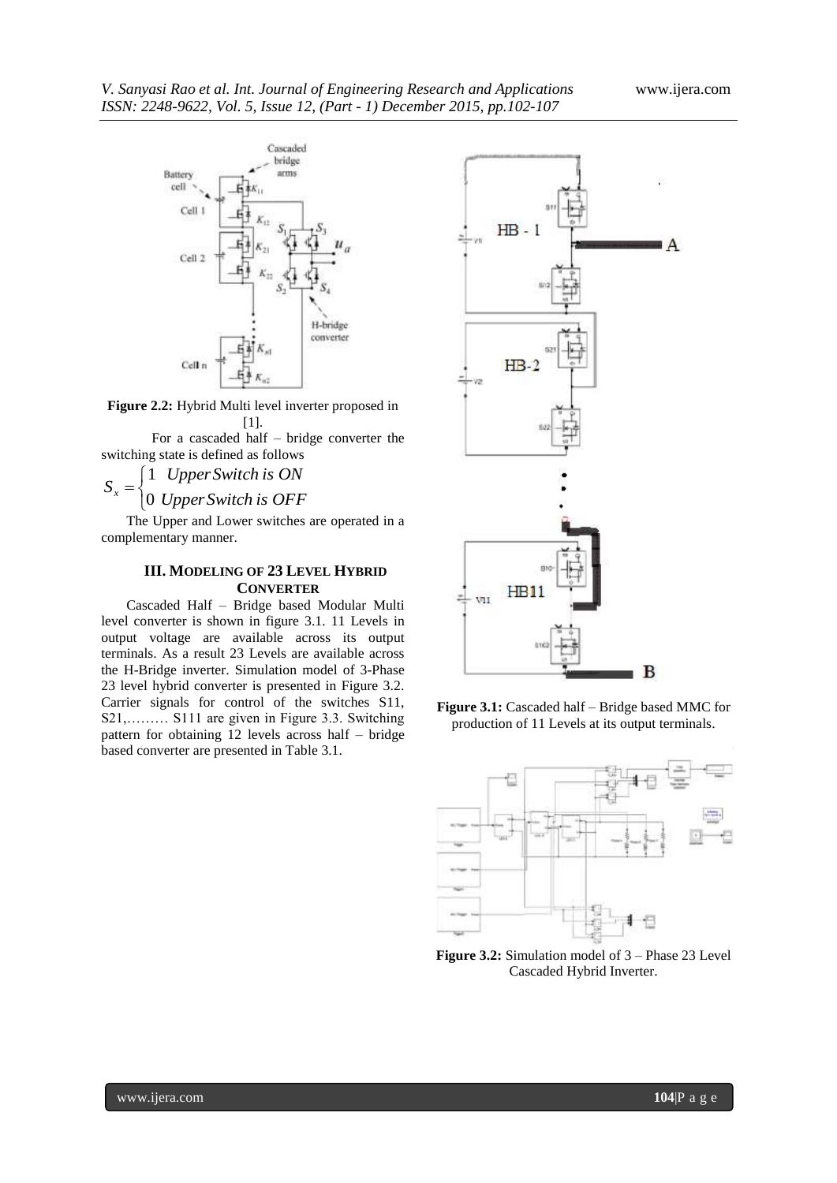

**Figure 2.2:** Hybrid Multi level inverter proposed in [1].

For a cascaded half – bridge converter the switching state is defined as follows

 $\mathbf{I}$ ⇃  $\left\lceil$  $=$ *UpperSwitch is OFF UpperSwitch is ON*  $S_x = \begin{cases} 0 \\ 0 \end{cases}$ 1

The Upper and Lower switches are operated in a complementary manner.

## **III. MODELING OF 23 LEVEL HYBRID CONVERTER**

Cascaded Half – Bridge based Modular Multi level converter is shown in figure 3.1. 11 Levels in output voltage are available across its output terminals. As a result 23 Levels are available across the H-Bridge inverter. Simulation model of 3-Phase 23 level hybrid converter is presented in Figure 3.2. Carrier signals for control of the switches S11, S21,……… S111 are given in Figure 3.3. Switching pattern for obtaining 12 levels across half – bridge based converter are presented in Table 3.1.



**Figure 3.1:** Cascaded half – Bridge based MMC for production of 11 Levels at its output terminals.



**Figure 3.2:** Simulation model of 3 – Phase 23 Level Cascaded Hybrid Inverter.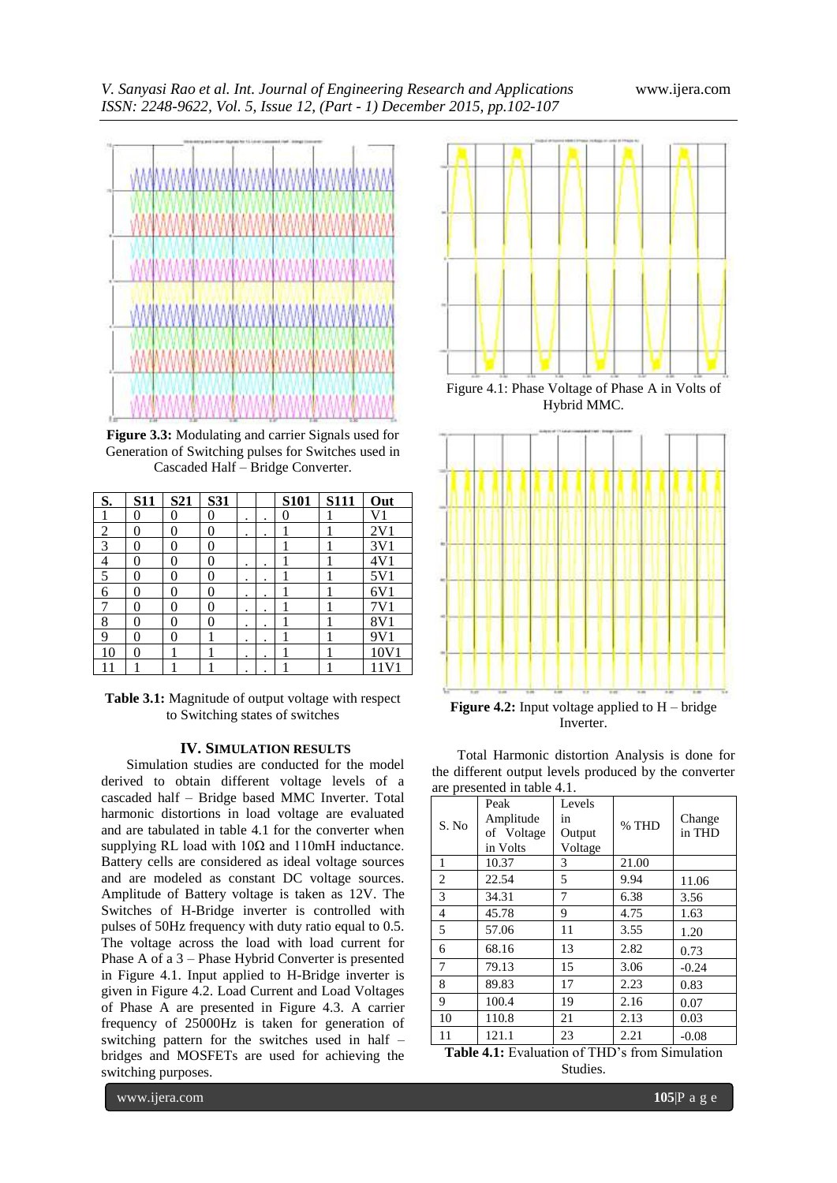

**Figure 3.3:** Modulating and carrier Signals used for Generation of Switching pulses for Switches used in Cascaded Half – Bridge Converter.

| S.             | <b>S11</b> | S21            | <b>S31</b> |   |   | <b>S101</b> | <b>S111</b> | Out            |
|----------------|------------|----------------|------------|---|---|-------------|-------------|----------------|
|                | 0          | 0              | 0          | ٠ |   | 0           |             | V <sub>1</sub> |
| $\overline{2}$ | 0          | 0              | $\theta$   | ٠ | ٠ |             |             | 2V1            |
| 3              | 0          | 0              | 0          |   |   |             |             | 3V1            |
| 4              | 0          | 0              | 0          | ٠ | ٠ |             |             | 4V1            |
| 5              | 0          | $\overline{0}$ | $\theta$   | ٠ | ٠ |             |             | 5V1            |
| 6              | 0          | 0              | 0          | ٠ | ٠ |             |             | 6V1            |
| 7              | 0          | 0              | 0          | ٠ | ٠ |             |             |                |
| 8              | 0          | 0              | 0          | ٠ | ٠ |             |             | 8V1            |
| 9              | 0          | 0              |            | ٠ | ٠ |             |             | 9V1            |
| 10             | 0          |                |            | ٠ | ٠ |             |             | 10V1           |
| 1              |            |                |            | ٠ |   |             |             | 11V1           |

**Table 3.1:** Magnitude of output voltage with respect to Switching states of switches

#### **IV. SIMULATION RESULTS**

Simulation studies are conducted for the model derived to obtain different voltage levels of a cascaded half – Bridge based MMC Inverter. Total harmonic distortions in load voltage are evaluated and are tabulated in table 4.1 for the converter when supplying RL load with  $10\Omega$  and  $110m$ H inductance. Battery cells are considered as ideal voltage sources and are modeled as constant DC voltage sources. Amplitude of Battery voltage is taken as 12V. The Switches of H-Bridge inverter is controlled with pulses of 50Hz frequency with duty ratio equal to 0.5. The voltage across the load with load current for Phase A of a 3 – Phase Hybrid Converter is presented in Figure 4.1. Input applied to H-Bridge inverter is given in Figure 4.2. Load Current and Load Voltages of Phase A are presented in Figure 4.3. A carrier frequency of 25000Hz is taken for generation of switching pattern for the switches used in half – bridges and MOSFETs are used for achieving the switching purposes.



Hybrid MMC.



Total Harmonic distortion Analysis is done for the different output levels produced by the converter are presented in table 4.1.

| are presenteu in table 4.1. |            |         |       |         |  |  |  |  |
|-----------------------------|------------|---------|-------|---------|--|--|--|--|
|                             | Peak       | Levels  |       |         |  |  |  |  |
| S. No                       | Amplitude  | in      | % THD | Change  |  |  |  |  |
|                             | of Voltage | Output  |       | in THD  |  |  |  |  |
|                             | in Volts   | Voltage |       |         |  |  |  |  |
| 1                           | 10.37      | 3       | 21.00 |         |  |  |  |  |
| 2                           | 22.54      | 5       | 9.94  | 11.06   |  |  |  |  |
| 3                           | 34.31      | 7       | 6.38  | 3.56    |  |  |  |  |
| 4                           | 45.78      | 9       | 4.75  | 1.63    |  |  |  |  |
| 5                           | 57.06      | 11      | 3.55  | 1.20    |  |  |  |  |
| 6                           | 68.16      | 13      | 2.82  | 0.73    |  |  |  |  |
| 7                           | 79.13      | 15      | 3.06  | $-0.24$ |  |  |  |  |
| 8                           | 89.83      | 17      | 2.23  | 0.83    |  |  |  |  |
| 9                           | 100.4      | 19      | 2.16  | 0.07    |  |  |  |  |
| 10                          | 110.8      | 21      | 2.13  | 0.03    |  |  |  |  |
| 11                          | 121.1      | 23      | 2.21  | $-0.08$ |  |  |  |  |

**Table 4.1:** Evaluation of THD's from Simulation Studies.

www.ijera.com **105**|P a g e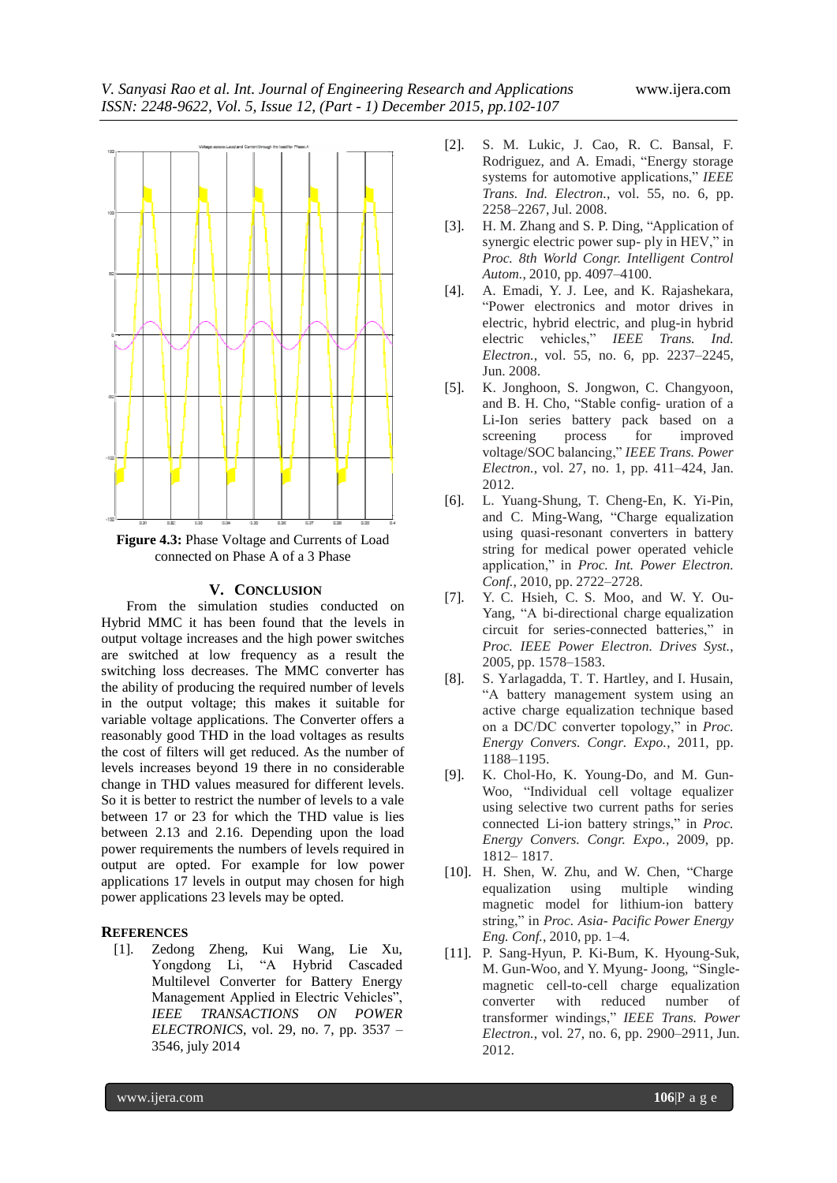

**Figure 4.3:** Phase Voltage and Currents of Load connected on Phase A of a 3 Phase

### **V. CONCLUSION**

From the simulation studies conducted on Hybrid MMC it has been found that the levels in output voltage increases and the high power switches are switched at low frequency as a result the switching loss decreases. The MMC converter has the ability of producing the required number of levels in the output voltage; this makes it suitable for variable voltage applications. The Converter offers a reasonably good THD in the load voltages as results the cost of filters will get reduced. As the number of levels increases beyond 19 there in no considerable change in THD values measured for different levels. So it is better to restrict the number of levels to a vale between 17 or 23 for which the THD value is lies between 2.13 and 2.16. Depending upon the load power requirements the numbers of levels required in output are opted. For example for low power applications 17 levels in output may chosen for high power applications 23 levels may be opted.

# **REFERENCES**

[1]. Zedong Zheng, Kui Wang, Lie Xu, Yongdong Li, "A Hybrid Cascaded Multilevel Converter for Battery Energy Management Applied in Electric Vehicles", *IEEE TRANSACTIONS ON POWER ELECTRONICS*, vol. 29, no. 7, pp. 3537 – 3546, july 2014

- [2]. S. M. Lukic, J. Cao, R. C. Bansal, F. Rodriguez, and A. Emadi, "Energy storage systems for automotive applications," *IEEE Trans. Ind. Electron.*, vol. 55, no. 6, pp. 2258–2267, Jul. 2008.
- [3]. H. M. Zhang and S. P. Ding, "Application of synergic electric power sup- ply in HEV," in *Proc. 8th World Congr. Intelligent Control Autom.*, 2010, pp. 4097–4100.
- [4]. A. Emadi, Y. J. Lee, and K. Rajashekara, "Power electronics and motor drives in electric, hybrid electric, and plug-in hybrid electric vehicles," *IEEE Trans. Ind. Electron.*, vol. 55, no. 6, pp. 2237–2245, Jun. 2008.
- [5]. K. Jonghoon, S. Jongwon, C. Changyoon, and B. H. Cho, "Stable config- uration of a Li-Ion series battery pack based on a screening process for improved voltage/SOC balancing," *IEEE Trans. Power Electron.*, vol. 27, no. 1, pp. 411–424, Jan. 2012.
- [6]. L. Yuang-Shung, T. Cheng-En, K. Yi-Pin, and C. Ming-Wang, "Charge equalization using quasi-resonant converters in battery string for medical power operated vehicle application," in *Proc. Int. Power Electron. Conf.*, 2010, pp. 2722–2728.
- [7]. Y. C. Hsieh, C. S. Moo, and W. Y. Ou-Yang, "A bi-directional charge equalization circuit for series-connected batteries," in *Proc. IEEE Power Electron. Drives Syst.*, 2005, pp. 1578–1583.
- [8]. S. Yarlagadda, T. T. Hartley, and I. Husain, "A battery management system using an active charge equalization technique based on a DC/DC converter topology," in *Proc. Energy Convers. Congr. Expo.*, 2011, pp. 1188–1195.
- [9]. K. Chol-Ho, K. Young-Do, and M. Gun-Woo, "Individual cell voltage equalizer using selective two current paths for series connected Li-ion battery strings," in *Proc. Energy Convers. Congr. Expo.*, 2009, pp. 1812– 1817.
- [10]. H. Shen, W. Zhu, and W. Chen, "Charge equalization using multiple winding magnetic model for lithium-ion battery string," in *Proc. Asia- Pacific Power Energy Eng. Conf.*, 2010, pp. 1–4.
- [11]. P. Sang-Hyun, P. Ki-Bum, K. Hyoung-Suk, M. Gun-Woo, and Y. Myung- Joong, "Singlemagnetic cell-to-cell charge equalization converter with reduced number of transformer windings," *IEEE Trans. Power Electron.*, vol. 27, no. 6, pp. 2900–2911, Jun. 2012.